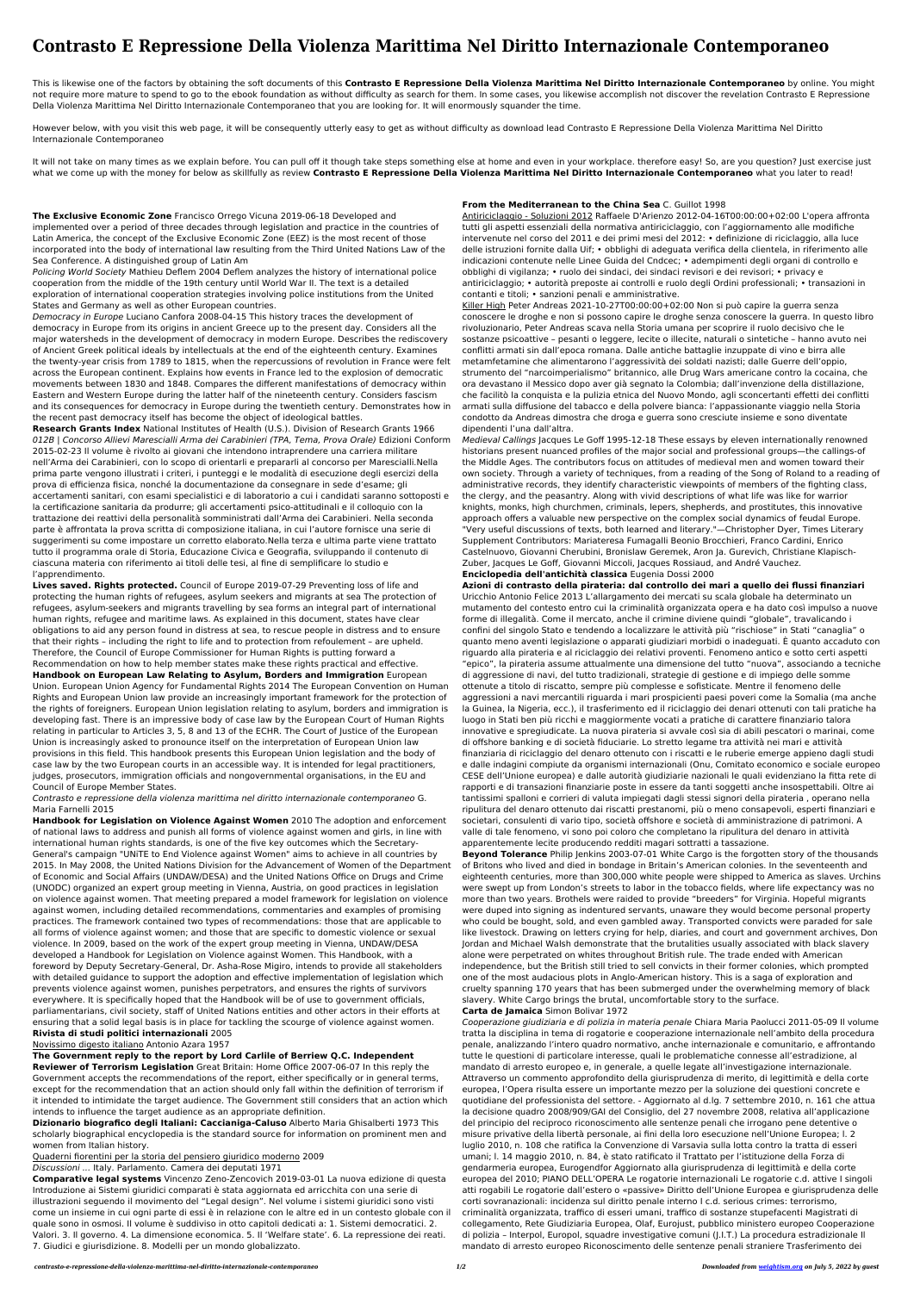# **Contrasto E Repressione Della Violenza Marittima Nel Diritto Internazionale Contemporaneo**

This is likewise one of the factors by obtaining the soft documents of this **Contrasto E Repressione Della Violenza Marittima Nel Diritto Internazionale Contemporaneo** by online. You might not require more mature to spend to go to the ebook foundation as without difficulty as search for them. In some cases, you likewise accomplish not discover the revelation Contrasto E Repressione Della Violenza Marittima Nel Diritto Internazionale Contemporaneo that you are looking for. It will enormously squander the time.

However below, with you visit this web page, it will be consequently utterly easy to get as without difficulty as download lead Contrasto E Repressione Della Violenza Marittima Nel Diritto Internazionale Contemporaneo

It will not take on many times as we explain before. You can pull off it though take steps something else at home and even in your workplace. therefore easy! So, are you question? Just exercise just what we come up with the money for below as skillfully as review **Contrasto E Repressione Della Violenza Marittima Nel Diritto Internazionale Contemporaneo** what you later to read!

**The Exclusive Economic Zone** Francisco Orrego Vicuna 2019-06-18 Developed and implemented over a period of three decades through legislation and practice in the countries of Latin America, the concept of the Exclusive Economic Zone (EEZ) is the most recent of those incorporated into the body of international law resulting from the Third United Nations Law of the Sea Conference. A distinguished group of Latin Am

Policing World Society Mathieu Deflem 2004 Deflem analyzes the history of international police cooperation from the middle of the 19th century until World War II. The text is a detailed exploration of international cooperation strategies involving police institutions from the United States and Germany as well as other European countries.

Democracy in Europe Luciano Canfora 2008-04-15 This history traces the development of democracy in Europe from its origins in ancient Greece up to the present day. Considers all the major watersheds in the development of democracy in modern Europe. Describes the rediscovery of Ancient Greek political ideals by intellectuals at the end of the eighteenth century. Examines the twenty-year crisis from 1789 to 1815, when the repercussions of revolution in France were felt across the European continent. Explains how events in France led to the explosion of democratic movements between 1830 and 1848. Compares the different manifestations of democracy within Eastern and Western Europe during the latter half of the nineteenth century. Considers fascism and its consequences for democracy in Europe during the twentieth century. Demonstrates how in the recent past democracy itself has become the object of ideological battles.

**Research Grants Index** National Institutes of Health (U.S.). Division of Research Grants 1966 012B | Concorso Allievi Marescialli Arma dei Carabinieri (TPA, Tema, Prova Orale) Edizioni Conform 2015-02-23 Il volume è rivolto ai giovani che intendono intraprendere una carriera militare nell'Arma dei Carabinieri, con lo scopo di orientarli e prepararli al concorso per Marescialli.Nella prima parte vengono illustrati i criteri, i punteggi e le modalità di esecuzione degli esercizi della prova di efficienza fisica, nonché la documentazione da consegnare in sede d'esame; gli accertamenti sanitari, con esami specialistici e di laboratorio a cui i candidati saranno sottoposti e la certificazione sanitaria da produrre; gli accertamenti psico-attitudinali e il colloquio con la trattazione dei reattivi della personalità somministrati dall'Arma dei Carabinieri. Nella seconda parte è affrontata la prova scritta di composizione italiana, in cui l'autore fornisce una serie di suggerimenti su come impostare un corretto elaborato.Nella terza e ultima parte viene trattato tutto il programma orale di Storia, Educazione Civica e Geografia, sviluppando il contenuto di ciascuna materia con riferimento ai titoli delle tesi, al fine di semplificare lo studio e l'apprendimento.

**Lives saved. Rights protected.** Council of Europe 2019-07-29 Preventing loss of life and protecting the human rights of refugees, asylum seekers and migrants at sea The protection of refugees, asylum-seekers and migrants travelling by sea forms an integral part of international human rights, refugee and maritime laws. As explained in this document, states have clear obligations to aid any person found in distress at sea, to rescue people in distress and to ensure that their rights – including the right to life and to protection from refoulement – are upheld. Therefore, the Council of Europe Commissioner for Human Rights is putting forward a Recommendation on how to help member states make these rights practical and effective. **Handbook on European Law Relating to Asylum, Borders and Immigration** European Union. European Union Agency for Fundamental Rights 2014 The European Convention on Human Rights and European Union law provide an increasingly important framework for the protection of the rights of foreigners. European Union legislation relating to asylum, borders and immigration is developing fast. There is an impressive body of case law by the European Court of Human Rights relating in particular to Articles 3, 5, 8 and 13 of the ECHR. The Court of Justice of the European Union is increasingly asked to pronounce itself on the interpretation of European Union law provisions in this field. This handbook presents this European Union legislation and the body of case law by the two European courts in an accessible way. It is intended for legal practitioners, judges, prosecutors, immigration officials and nongovernmental organisations, in the EU and Council of Europe Member States.

Contrasto e repressione della violenza marittima nel diritto internazionale contemporaneo G. Maria Farnelli 2015

**Handbook for Legislation on Violence Against Women** 2010 The adoption and enforcement of national laws to address and punish all forms of violence against women and girls, in line with international human rights standards, is one of the five key outcomes which the Secretary-General's campaign "UNiTE to End Violence against Women" aims to achieve in all countries by 2015. In May 2008, the United Nations Division for the Advancement of Women of the Department of Economic and Social Affairs (UNDAW/DESA) and the United Nations Office on Drugs and Crime (UNODC) organized an expert group meeting in Vienna, Austria, on good practices in legislation on violence against women. That meeting prepared a model framework for legislation on violence against women, including detailed recommendations, commentaries and examples of promising practices. The framework contained two types of recommendations: those that are applicable to all forms of violence against women; and those that are specific to domestic violence or sexual violence. In 2009, based on the work of the expert group meeting in Vienna, UNDAW/DESA developed a Handbook for Legislation on Violence against Women. This Handbook, with a foreword by Deputy Secretary-General, Dr. Asha-Rose Migiro, intends to provide all stakeholders with detailed guidance to support the adoption and effective implementation of legislation which prevents violence against women, punishes perpetrators, and ensures the rights of survivors everywhere. It is specifically hoped that the Handbook will be of use to government officials, parliamentarians, civil society, staff of United Nations entities and other actors in their efforts at ensuring that a solid legal basis is in place for tackling the scourge of violence against women.

**Rivista di studi politici internazionali** 2005

Novissimo digesto italiano Antonio Azara 1957

### **The Government reply to the report by Lord Carlile of Berriew Q.C. Independent**

**Reviewer of Terrorism Legislation** Great Britain: Home Office 2007-06-07 In this reply the Government accepts the recommendations of the report, either specifically or in general terms, except for the recommendation that an action should only fall within the definition of terrorism if it intended to intimidate the target audience. The Government still considers that an action which intends to influence the target audience as an appropriate definition.

**Dizionario biografico degli Italiani: Caccianiga-Caluso** Alberto Maria Ghisalberti 1973 This scholarly biographical encyclopedia is the standard source for information on prominent men and women from Italian history.

### Quaderni fiorentini per la storia del pensiero giuridico moderno 2009

### Discussioni ... Italy. Parlamento. Camera dei deputati 1971

**Comparative legal systems** Vincenzo Zeno-Zencovich 2019-03-01 La nuova edizione di questa Introduzione ai Sistemi giuridici comparati è stata aggiornata ed arricchita con una serie di illustrazioni seguendo il movimento del "Legal design". Nel volume i sistemi giuridici sono visti come un insieme in cui ogni parte di essi è in relazione con le altre ed in un contesto globale con il quale sono in osmosi. Il volume è suddiviso in otto capitoli dedicati a: 1. Sistemi democratici. 2. Valori. 3. Il governo. 4. La dimensione economica. 5. Il 'Welfare state'. 6. La repressione dei reati. 7. Giudici e giurisdizione. 8. Modelli per un mondo globalizzato.

### **From the Mediterranean to the China Sea** C. Guillot 1998

Antiriciclaggio - Soluzioni 2012 Raffaele D'Arienzo 2012-04-16T00:00:00+02:00 L'opera affronta tutti gli aspetti essenziali della normativa antiriciclaggio, con l'aggiornamento alle modifiche intervenute nel corso del 2011 e dei primi mesi del 2012: • definizione di riciclaggio, alla luce delle istruzioni fornite dalla Uif; • obblighi di adeguata verifica della clientela, in riferimento alle indicazioni contenute nelle Linee Guida del Cndcec; • adempimenti degli organi di controllo e obblighi di vigilanza; • ruolo dei sindaci, dei sindaci revisori e dei revisori; • privacy e antiriciclaggio; • autorità preposte ai controlli e ruolo degli Ordini professionali; • transazioni in contanti e titoli; • sanzioni penali e amministrative.

Killer High Peter Andreas 2021-10-27T00:00:00+02:00 Non si può capire la guerra senza conoscere le droghe e non si possono capire le droghe senza conoscere la guerra. In questo libro rivoluzionario, Peter Andreas scava nella Storia umana per scoprire il ruolo decisivo che le sostanze psicoattive – pesanti o leggere, lecite o illecite, naturali o sintetiche – hanno avuto nei conflitti armati sin dall'epoca romana. Dalle antiche battaglie inzuppate di vino e birra alle metamfetamine che alimentarono l'aggressività dei soldati nazisti; dalle Guerre dell'oppio, strumento del "narcoimperialismo" britannico, alle Drug Wars americane contro la cocaina, che ora devastano il Messico dopo aver già segnato la Colombia; dall'invenzione della distillazione, che facilitò la conquista e la pulizia etnica del Nuovo Mondo, agli sconcertanti effetti dei conflitti armati sulla diffusione del tabacco e della polvere bianca: l'appassionante viaggio nella Storia condotto da Andreas dimostra che droga e guerra sono cresciute insieme e sono diventate dipendenti l'una dall'altra.

Medieval Callings Jacques Le Goff 1995-12-18 These essays by eleven internationally renowned historians present nuanced profiles of the major social and professional groups—the callings-of the Middle Ages. The contributors focus on attitudes of medieval men and women toward their own society. Through a variety of techniques, from a reading of the Song of Roland to a reading of administrative records, they identify characteristic viewpoints of members of the fighting class, the clergy, and the peasantry. Along with vivid descriptions of what life was like for warrior knights, monks, high churchmen, criminals, lepers, shepherds, and prostitutes, this innovative approach offers a valuable new perspective on the complex social dynamics of feudal Europe. "Very useful discussions of texts, both learned and literary."—Christopher Dyer, Times Literary Supplement Contributors: Mariateresa Fumagalli Beonio Brocchieri, Franco Cardini, Enrico Castelnuovo, Giovanni Cherubini, Bronislaw Geremek, Aron Ja. Gurevich, Christiane Klapisch-Zuber, Jacques Le Goff, Giovanni Miccoli, Jacques Rossiaud, and André Vauchez. **Enciclopedia dell'antichità classica** Eugenia Dossi 2000

**Azioni di contrasto della pirateria: dal controllo dei mari a quello dei flussi finanziari** Uricchio Antonio Felice 2013 L'allargamento dei mercati su scala globale ha determinato un mutamento del contesto entro cui la criminalità organizzata opera e ha dato così impulso a nuove forme di illegalità. Come il mercato, anche il crimine diviene quindi "globale", travalicando i confini del singolo Stato e tendendo a localizzare le attività più "rischiose" in Stati "canaglia" o quanto meno aventi legislazione o apparati giudiziari morbidi o inadeguati. È quanto accaduto con riguardo alla pirateria e al riciclaggio dei relativi proventi. Fenomeno antico e sotto certi aspetti "epico", la pirateria assume attualmente una dimensione del tutto "nuova", associando a tecniche di aggressione di navi, del tutto tradizionali, strategie di gestione e di impiego delle somme ottenute a titolo di riscatto, sempre più complesse e sofisticate. Mentre il fenomeno delle aggressioni a navi mercantili riguarda i mari prospicienti paesi poveri come la Somalia (ma anche la Guinea, la Nigeria, ecc.), il trasferimento ed il riciclaggio dei denari ottenuti con tali pratiche ha luogo in Stati ben più ricchi e maggiormente vocati a pratiche di carattere finanziario talora innovative e spregiudicate. La nuova pirateria si avvale così sia di abili pescatori o marinai, come di offshore banking e di società fiduciarie. Lo stretto legame tra attività nei mari e attività finanziaria di riciclaggio del denaro ottenuto con i riscatti e le ruberie emerge appieno dagli studi e dalle indagini compiute da organismi internazionali (Onu, Comitato economico e sociale europeo CESE dell'Unione europea) e dalle autorità giudiziarie nazionali le quali evidenziano la fitta rete di rapporti e di transazioni finanziarie poste in essere da tanti soggetti anche insospettabili. Oltre ai tantissimi spalloni e corrieri di valuta impiegati dagli stessi signori della pirateria , operano nella ripulitura del denaro ottenuto dai riscatti prestanomi, più o meno consapevoli, esperti finanziari e societari, consulenti di vario tipo, società offshore e società di amministrazione di patrimoni. A valle di tale fenomeno, vi sono poi coloro che completano la ripulitura del denaro in attività apparentemente lecite producendo redditi magari sottratti a tassazione. **Beyond Tolerance** Philip Jenkins 2003-07-01 White Cargo is the forgotten story of the thousands of Britons who lived and died in bondage in Britain's American colonies. In the seventeenth and eighteenth centuries, more than 300,000 white people were shipped to America as slaves. Urchins were swept up from London's streets to labor in the tobacco fields, where life expectancy was no more than two years. Brothels were raided to provide "breeders" for Virginia. Hopeful migrants were duped into signing as indentured servants, unaware they would become personal property who could be bought, sold, and even gambled away. Transported convicts were paraded for sale like livestock. Drawing on letters crying for help, diaries, and court and government archives, Don Jordan and Michael Walsh demonstrate that the brutalities usually associated with black slavery alone were perpetrated on whites throughout British rule. The trade ended with American independence, but the British still tried to sell convicts in their former colonies, which prompted one of the most audacious plots in Anglo-American history. This is a saga of exploration and cruelty spanning 170 years that has been submerged under the overwhelming memory of black slavery. White Cargo brings the brutal, uncomfortable story to the surface. **Carta de Jamaica** Simon Bolivar 1972 Cooperazione giudiziaria e di polizia in materia penale Chiara Maria Paolucci 2011-05-09 Il volume tratta la disciplina in tema di rogatorie e cooperazione internazionale nell'ambito della procedura penale, analizzando l'intero quadro normativo, anche internazionale e comunitario, e affrontando tutte le questioni di particolare interesse, quali le problematiche connesse all'estradizione, al mandato di arresto europeo e, in generale, a quelle legate all'investigazione internazionale. Attraverso un commento approfondito della giurisprudenza di merito, di legittimità e della corte europea, l'Opera risulta essere un importante mezzo per la soluzione dei questioni concrete e quotidiane del professionista del settore. - Aggiornato al d.lg. 7 settembre 2010, n. 161 che attua la decisione quadro 2008/909/GAI del Consiglio, del 27 novembre 2008, relativa all'applicazione del principio del reciproco riconoscimento alle sentenze penali che irrogano pene detentive o misure privative della libertà personale, ai fini della loro esecuzione nell'Unione Europea; l. 2 luglio 2010, n. 108 che ratifica la Convenzione di Varsavia sulla lotta contro la tratta di esseri umani; l. 14 maggio 2010, n. 84, è stato ratificato il Trattato per l'istituzione della Forza di gendarmeria europea, Eurogendfor Aggiornato alla giurisprudenza di legittimità e della corte europea del 2010; PIANO DELL'OPERA Le rogatorie internazionali Le rogatorie c.d. attive I singoli atti rogabili Le rogatorie dall'estero o «passive» Diritto dell'Unione Europea e giurisprudenza delle corti sovranazionali: incidenza sul diritto penale interno I c.d. serious crimes: terrorismo, criminalità organizzata, traffico di esseri umani, traffico di sostanze stupefacenti Magistrati di collegamento, Rete Giudiziaria Europea, Olaf, Eurojust, pubblico ministero europeo Cooperazione di polizia – Interpol, Europol, squadre investigative comuni (J.I.T.) La procedura estradizionale Il mandato di arresto europeo Riconoscimento delle sentenze penali straniere Trasferimento dei